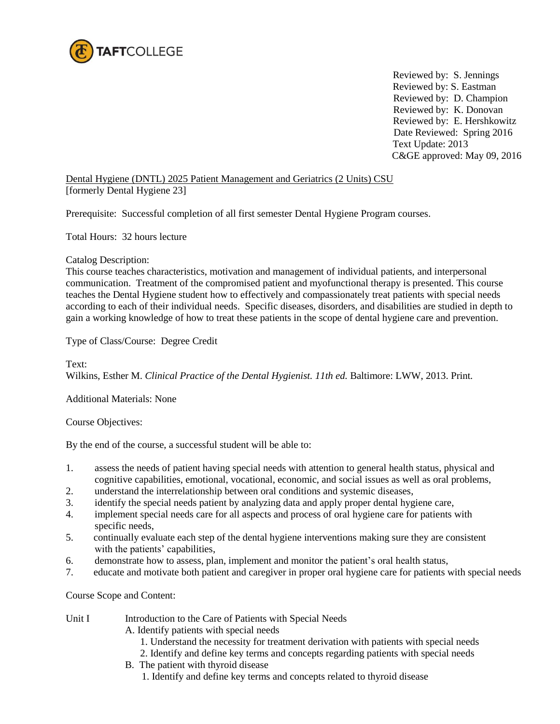

 Reviewed by: S. Jennings Reviewed by: S. Eastman Reviewed by: D. Champion Reviewed by: K. Donovan Reviewed by: E. Hershkowitz Date Reviewed: Spring 2016 Text Update: 2013 C&GE approved: May 09, 2016

Dental Hygiene (DNTL) 2025 Patient Management and Geriatrics (2 Units) CSU [formerly Dental Hygiene 23]

Prerequisite: Successful completion of all first semester Dental Hygiene Program courses.

Total Hours: 32 hours lecture

Catalog Description:

This course teaches characteristics, motivation and management of individual patients, and interpersonal communication. Treatment of the compromised patient and myofunctional therapy is presented. This course teaches the Dental Hygiene student how to effectively and compassionately treat patients with special needs according to each of their individual needs. Specific diseases, disorders, and disabilities are studied in depth to gain a working knowledge of how to treat these patients in the scope of dental hygiene care and prevention.

Type of Class/Course: Degree Credit

Text:

Wilkins, Esther M. *Clinical Practice of the Dental Hygienist. 11th ed.* Baltimore: LWW, 2013. Print*.*

Additional Materials: None

Course Objectives:

By the end of the course, a successful student will be able to:

- 1. assess the needs of patient having special needs with attention to general health status, physical and cognitive capabilities, emotional, vocational, economic, and social issues as well as oral problems,
- 2. understand the interrelationship between oral conditions and systemic diseases,
- 3. identify the special needs patient by analyzing data and apply proper dental hygiene care,
- 4. implement special needs care for all aspects and process of oral hygiene care for patients with specific needs,
- 5. continually evaluate each step of the dental hygiene interventions making sure they are consistent with the patients' capabilities,
- 6. demonstrate how to assess, plan, implement and monitor the patient's oral health status,
- 7. educate and motivate both patient and caregiver in proper oral hygiene care for patients with special needs

Course Scope and Content:

Unit I Introduction to the Care of Patients with Special Needs

A. Identify patients with special needs

- 1. Understand the necessity for treatment derivation with patients with special needs
- 2. Identify and define key terms and concepts regarding patients with special needs
- B. The patient with thyroid disease
	- 1. Identify and define key terms and concepts related to thyroid disease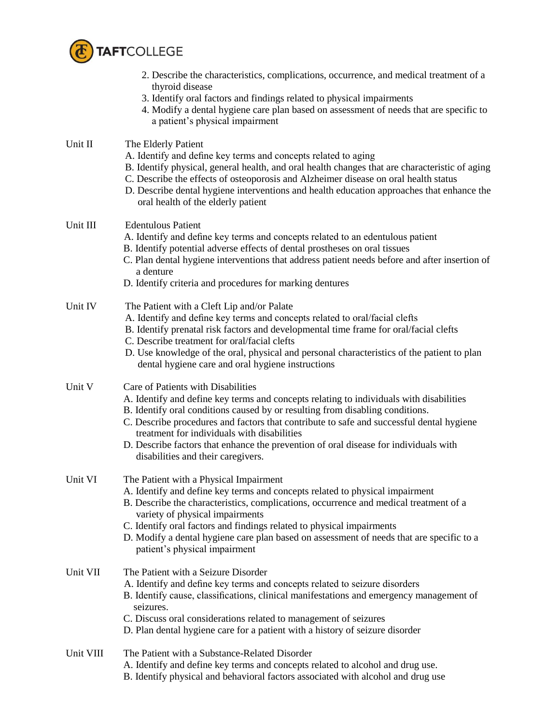

|           | 2. Describe the characteristics, complications, occurrence, and medical treatment of a<br>thyroid disease<br>3. Identify oral factors and findings related to physical impairments<br>4. Modify a dental hygiene care plan based on assessment of needs that are specific to<br>a patient's physical impairment                                                                                                                                                                         |
|-----------|-----------------------------------------------------------------------------------------------------------------------------------------------------------------------------------------------------------------------------------------------------------------------------------------------------------------------------------------------------------------------------------------------------------------------------------------------------------------------------------------|
| Unit II   | The Elderly Patient<br>A. Identify and define key terms and concepts related to aging<br>B. Identify physical, general health, and oral health changes that are characteristic of aging<br>C. Describe the effects of osteoporosis and Alzheimer disease on oral health status<br>D. Describe dental hygiene interventions and health education approaches that enhance the<br>oral health of the elderly patient                                                                       |
| Unit III  | <b>Edentulous Patient</b><br>A. Identify and define key terms and concepts related to an edentulous patient<br>B. Identify potential adverse effects of dental prostheses on oral tissues<br>C. Plan dental hygiene interventions that address patient needs before and after insertion of<br>a denture<br>D. Identify criteria and procedures for marking dentures                                                                                                                     |
| Unit IV   | The Patient with a Cleft Lip and/or Palate<br>A. Identify and define key terms and concepts related to oral/facial clefts<br>B. Identify prenatal risk factors and developmental time frame for oral/facial clefts<br>C. Describe treatment for oral/facial clefts<br>D. Use knowledge of the oral, physical and personal characteristics of the patient to plan<br>dental hygiene care and oral hygiene instructions                                                                   |
| Unit V    | Care of Patients with Disabilities<br>A. Identify and define key terms and concepts relating to individuals with disabilities<br>B. Identify oral conditions caused by or resulting from disabling conditions.<br>C. Describe procedures and factors that contribute to safe and successful dental hygiene<br>treatment for individuals with disabilities<br>D. Describe factors that enhance the prevention of oral disease for individuals with<br>disabilities and their caregivers. |
| Unit VI   | The Patient with a Physical Impairment<br>A. Identify and define key terms and concepts related to physical impairment<br>B. Describe the characteristics, complications, occurrence and medical treatment of a<br>variety of physical impairments<br>C. Identify oral factors and findings related to physical impairments<br>D. Modify a dental hygiene care plan based on assessment of needs that are specific to a<br>patient's physical impairment                                |
| Unit VII  | The Patient with a Seizure Disorder<br>A. Identify and define key terms and concepts related to seizure disorders<br>B. Identify cause, classifications, clinical manifestations and emergency management of<br>seizures.<br>C. Discuss oral considerations related to management of seizures<br>D. Plan dental hygiene care for a patient with a history of seizure disorder                                                                                                           |
| Unit VIII | The Patient with a Substance-Related Disorder<br>A. Identify and define key terms and concepts related to alcohol and drug use.<br>B. Identify physical and behavioral factors associated with alcohol and drug use                                                                                                                                                                                                                                                                     |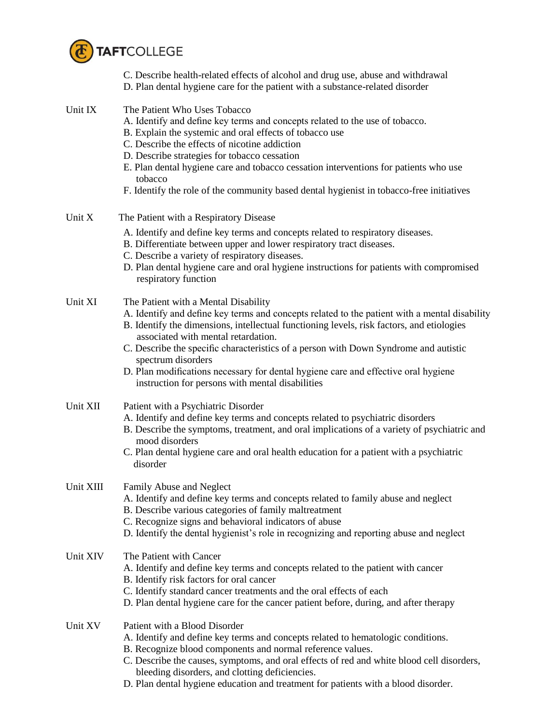

C. Describe health-related effects of alcohol and drug use, abuse and withdrawal D. Plan dental hygiene care for the patient with a substance-related disorder

| Unit IX   | The Patient Who Uses Tobacco<br>A. Identify and define key terms and concepts related to the use of tobacco.<br>B. Explain the systemic and oral effects of tobacco use<br>C. Describe the effects of nicotine addiction<br>D. Describe strategies for tobacco cessation<br>E. Plan dental hygiene care and tobacco cessation interventions for patients who use<br>tobacco<br>F. Identify the role of the community based dental hygienist in tobacco-free initiatives                                                           |
|-----------|-----------------------------------------------------------------------------------------------------------------------------------------------------------------------------------------------------------------------------------------------------------------------------------------------------------------------------------------------------------------------------------------------------------------------------------------------------------------------------------------------------------------------------------|
| Unit X    | The Patient with a Respiratory Disease                                                                                                                                                                                                                                                                                                                                                                                                                                                                                            |
|           | A. Identify and define key terms and concepts related to respiratory diseases.<br>B. Differentiate between upper and lower respiratory tract diseases.<br>C. Describe a variety of respiratory diseases.<br>D. Plan dental hygiene care and oral hygiene instructions for patients with compromised<br>respiratory function                                                                                                                                                                                                       |
| Unit XI   | The Patient with a Mental Disability<br>A. Identify and define key terms and concepts related to the patient with a mental disability<br>B. Identify the dimensions, intellectual functioning levels, risk factors, and etiologies<br>associated with mental retardation.<br>C. Describe the specific characteristics of a person with Down Syndrome and autistic<br>spectrum disorders<br>D. Plan modifications necessary for dental hygiene care and effective oral hygiene<br>instruction for persons with mental disabilities |
| Unit XII  | Patient with a Psychiatric Disorder<br>A. Identify and define key terms and concepts related to psychiatric disorders<br>B. Describe the symptoms, treatment, and oral implications of a variety of psychiatric and<br>mood disorders<br>C. Plan dental hygiene care and oral health education for a patient with a psychiatric<br>disorder                                                                                                                                                                                       |
| Unit XIII | Family Abuse and Neglect<br>A. Identify and define key terms and concepts related to family abuse and neglect<br>B. Describe various categories of family maltreatment<br>C. Recognize signs and behavioral indicators of abuse<br>D. Identify the dental hygienist's role in recognizing and reporting abuse and neglect                                                                                                                                                                                                         |
| Unit XIV  | The Patient with Cancer<br>A. Identify and define key terms and concepts related to the patient with cancer<br>B. Identify risk factors for oral cancer<br>C. Identify standard cancer treatments and the oral effects of each<br>D. Plan dental hygiene care for the cancer patient before, during, and after therapy                                                                                                                                                                                                            |
| Unit XV   | Patient with a Blood Disorder<br>A. Identify and define key terms and concepts related to hematologic conditions.<br>B. Recognize blood components and normal reference values.<br>C. Describe the causes, symptoms, and oral effects of red and white blood cell disorders,<br>bleeding disorders, and clotting deficiencies.                                                                                                                                                                                                    |

D. Plan dental hygiene education and treatment for patients with a blood disorder.